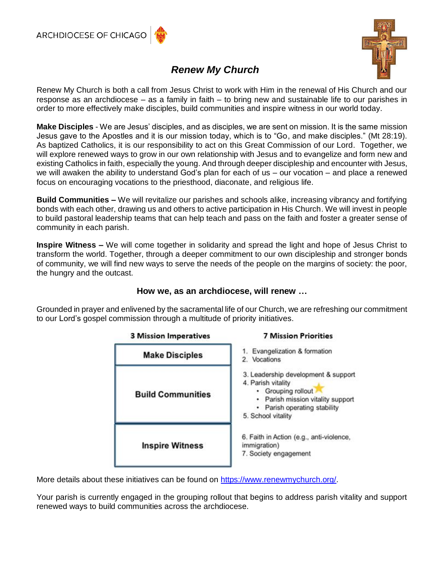

# *Renew My Church*

Renew My Church is both a call from Jesus Christ to work with Him in the renewal of His Church and our response as an archdiocese – as a family in faith – to bring new and sustainable life to our parishes in order to more effectively make disciples, build communities and inspire witness in our world today.

**Make Disciples** - We are Jesus' disciples, and as disciples, we are sent on mission. It is the same mission Jesus gave to the Apostles and it is our mission today, which is to "Go, and make disciples." (Mt 28:19). As baptized Catholics, it is our responsibility to act on this Great Commission of our Lord. Together, we will explore renewed ways to grow in our own relationship with Jesus and to evangelize and form new and existing Catholics in faith, especially the young. And through deeper discipleship and encounter with Jesus, we will awaken the ability to understand God's plan for each of us – our vocation – and place a renewed focus on encouraging vocations to the priesthood, diaconate, and religious life.

**Build Communities –** We will revitalize our parishes and schools alike, increasing vibrancy and fortifying bonds with each other, drawing us and others to active participation in His Church. We will invest in people to build pastoral leadership teams that can help teach and pass on the faith and foster a greater sense of community in each parish.

**Inspire Witness –** We will come together in solidarity and spread the light and hope of Jesus Christ to transform the world. Together, through a deeper commitment to our own discipleship and stronger bonds of community, we will find new ways to serve the needs of the people on the margins of society: the poor, the hungry and the outcast.

### **How we, as an archdiocese, will renew …**

Grounded in prayer and enlivened by the sacramental life of our Church, we are refreshing our commitment to our Lord's gospel commission through a multitude of priority initiatives.



More details about these initiatives can be found on [https://www.renewmychurch.org/.](https://www.renewmychurch.org/)

Your parish is currently engaged in the grouping rollout that begins to address parish vitality and support renewed ways to build communities across the archdiocese.